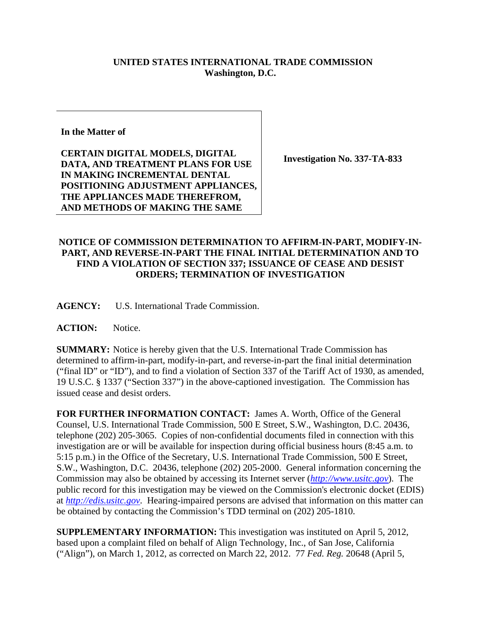## **UNITED STATES INTERNATIONAL TRADE COMMISSION Washington, D.C.**

**In the Matter of** 

**CERTAIN DIGITAL MODELS, DIGITAL DATA, AND TREATMENT PLANS FOR USE IN MAKING INCREMENTAL DENTAL POSITIONING ADJUSTMENT APPLIANCES, THE APPLIANCES MADE THEREFROM, AND METHODS OF MAKING THE SAME**

**Investigation No. 337-TA-833** 

## **NOTICE OF COMMISSION DETERMINATION TO AFFIRM-IN-PART, MODIFY-IN-PART, AND REVERSE-IN-PART THE FINAL INITIAL DETERMINATION AND TO FIND A VIOLATION OF SECTION 337; ISSUANCE OF CEASE AND DESIST ORDERS; TERMINATION OF INVESTIGATION**

**AGENCY:** U.S. International Trade Commission.

ACTION: Notice.

**SUMMARY:** Notice is hereby given that the U.S. International Trade Commission has determined to affirm-in-part, modify-in-part, and reverse-in-part the final initial determination ("final ID" or "ID"), and to find a violation of Section 337 of the Tariff Act of 1930, as amended, 19 U.S.C. § 1337 ("Section 337") in the above-captioned investigation. The Commission has issued cease and desist orders.

**FOR FURTHER INFORMATION CONTACT:** James A. Worth, Office of the General Counsel, U.S. International Trade Commission, 500 E Street, S.W., Washington, D.C. 20436, telephone (202) 205-3065. Copies of non-confidential documents filed in connection with this investigation are or will be available for inspection during official business hours (8:45 a.m. to 5:15 p.m.) in the Office of the Secretary, U.S. International Trade Commission, 500 E Street, S.W., Washington, D.C. 20436, telephone (202) 205-2000. General information concerning the Commission may also be obtained by accessing its Internet server (*http://www.usitc.gov*). The public record for this investigation may be viewed on the Commission's electronic docket (EDIS) at *http://edis.usitc.gov*. Hearing-impaired persons are advised that information on this matter can be obtained by contacting the Commission's TDD terminal on (202) 205-1810.

**SUPPLEMENTARY INFORMATION:** This investigation was instituted on April 5, 2012, based upon a complaint filed on behalf of Align Technology, Inc., of San Jose, California ("Align"), on March 1, 2012, as corrected on March 22, 2012. 77 *Fed. Reg.* 20648 (April 5,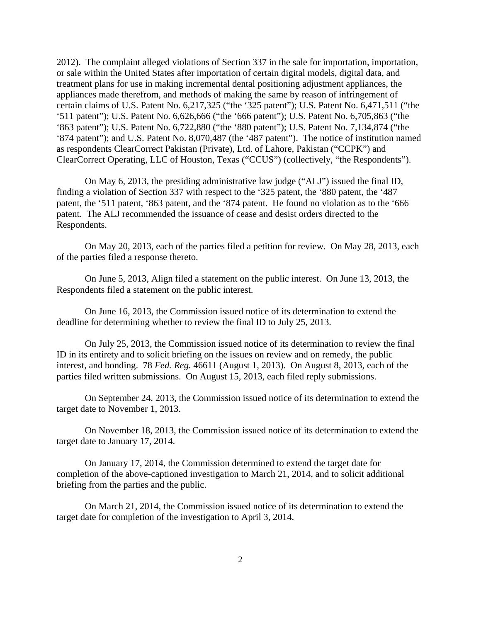2012). The complaint alleged violations of Section 337 in the sale for importation, importation, or sale within the United States after importation of certain digital models, digital data, and treatment plans for use in making incremental dental positioning adjustment appliances, the appliances made therefrom, and methods of making the same by reason of infringement of certain claims of U.S. Patent No. 6,217,325 ("the '325 patent"); U.S. Patent No. 6,471,511 ("the '511 patent"); U.S. Patent No. 6,626,666 ("the '666 patent"); U.S. Patent No. 6,705,863 ("the '863 patent"); U.S. Patent No. 6,722,880 ("the '880 patent"); U.S. Patent No. 7,134,874 ("the '874 patent"); and U.S. Patent No. 8,070,487 (the '487 patent"). The notice of institution named as respondents ClearCorrect Pakistan (Private), Ltd. of Lahore, Pakistan ("CCPK") and ClearCorrect Operating, LLC of Houston, Texas ("CCUS") (collectively, "the Respondents").

On May 6, 2013, the presiding administrative law judge ("ALJ") issued the final ID, finding a violation of Section 337 with respect to the '325 patent, the '880 patent, the '487 patent, the '511 patent, '863 patent, and the '874 patent. He found no violation as to the '666 patent. The ALJ recommended the issuance of cease and desist orders directed to the Respondents.

On May 20, 2013, each of the parties filed a petition for review. On May 28, 2013, each of the parties filed a response thereto.

On June 5, 2013, Align filed a statement on the public interest. On June 13, 2013, the Respondents filed a statement on the public interest.

On June 16, 2013, the Commission issued notice of its determination to extend the deadline for determining whether to review the final ID to July 25, 2013.

On July 25, 2013, the Commission issued notice of its determination to review the final ID in its entirety and to solicit briefing on the issues on review and on remedy, the public interest, and bonding. 78 *Fed. Reg.* 46611 (August 1, 2013). On August 8, 2013, each of the parties filed written submissions. On August 15, 2013, each filed reply submissions.

On September 24, 2013, the Commission issued notice of its determination to extend the target date to November 1, 2013.

On November 18, 2013, the Commission issued notice of its determination to extend the target date to January 17, 2014.

On January 17, 2014, the Commission determined to extend the target date for completion of the above-captioned investigation to March 21, 2014, and to solicit additional briefing from the parties and the public.

On March 21, 2014, the Commission issued notice of its determination to extend the target date for completion of the investigation to April 3, 2014.